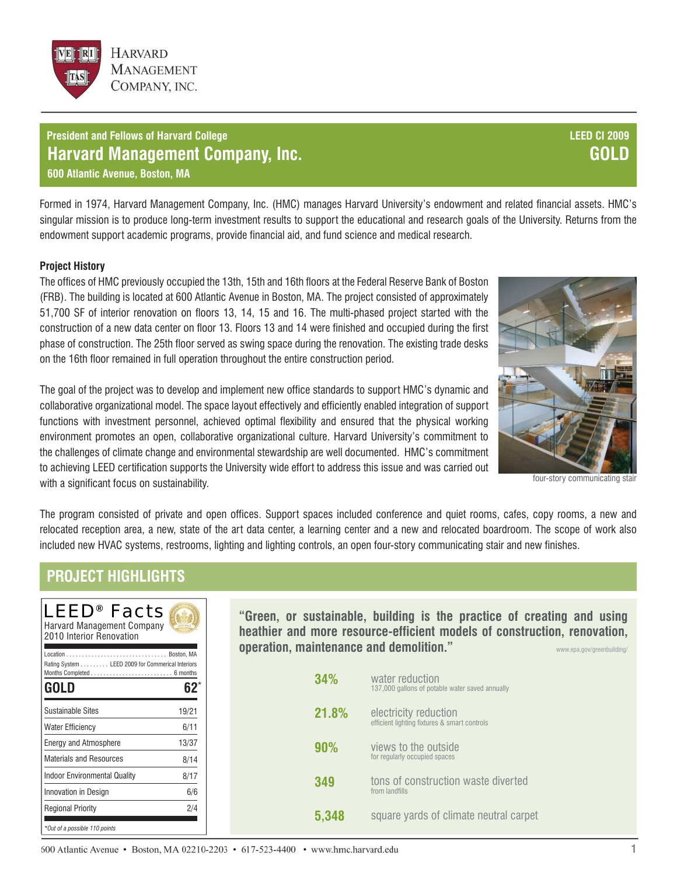

#### **Harvard Management Company, Inc. 600 Atlantic Avenue, Boston, MA President and Fellows of Harvard College**

# **GOLD LEED CI 2009**

Formed in 1974, Harvard Management Company, Inc. (HMC) manages Harvard University's endowment and related financial assets. HMC's singular mission is to produce long-term investment results to support the educational and research goals of the University. Returns from the endowment support academic programs, provide financial aid, and fund science and medical research.

#### **Project History**

The offices of HMC previously occupied the 13th, 15th and 16th floors at the Federal Reserve Bank of Boston (FRB). The building is located at 600 Atlantic Avenue in Boston, MA. The project consisted of approximately 51,700 SF of interior renovation on floors 13, 14, 15 and 16. The multi-phased project started with the construction of a new data center on floor 13. Floors 13 and 14 were finished and occupied during the first phase of construction. The 25th floor served as swing space during the renovation. The existing trade desks on the 16th floor remained in full operation throughout the entire construction period.

The goal of the project was to develop and implement new office standards to support HMC's dynamic and collaborative organizational model. The space layout effectively and efficiently enabled integration of support functions with investment personnel, achieved optimal flexibility and ensured that the physical working environment promotes an open, collaborative organizational culture. Harvard University's commitment to the challenges of climate change and environmental stewardship are well documented. HMC's commitment to achieving LEED certification supports the University wide effort to address this issue and was carried out with a significant focus on sustainability.



four-story communicating stair

The program consisted of private and open offices. Support spaces included conference and quiet rooms, cafes, copy rooms, a new and relocated reception area, a new, state of the art data center, a learning center and a new and relocated boardroom. The scope of work also included new HVAC systems, restrooms, lighting and lighting controls, an open four-story communicating stair and new finishes.

## **PROJECT HIGHLIGHTS**

| LEED <sup>®</sup> Facts<br>Harvard Management Company<br>2010 Interior Renovation<br>Rating System LEED 2009 for Commerical Interiors |              | operation, maintenance and demolition." | "Green, or sustainable, building is the practice of creating and using<br>heathier and more resource-efficient models of construction, renovation,<br>www.epa.gov/greenbuilding/ |
|---------------------------------------------------------------------------------------------------------------------------------------|--------------|-----------------------------------------|----------------------------------------------------------------------------------------------------------------------------------------------------------------------------------|
| <b>GOLD</b>                                                                                                                           | $62^{\circ}$ | 34%                                     | water reduction<br>137,000 gallons of potable water saved annually                                                                                                               |
| Sustainable Sites                                                                                                                     | 19/21        | 21.8%                                   | electricity reduction                                                                                                                                                            |
| <b>Water Efficiency</b>                                                                                                               | 6/11         |                                         | efficient lighting fixtures & smart controls                                                                                                                                     |
| <b>Energy and Atmosphere</b>                                                                                                          | 13/37        | 90%                                     | views to the outside                                                                                                                                                             |
| <b>Materials and Resources</b>                                                                                                        | 8/14         |                                         | for regularly occupied spaces                                                                                                                                                    |
| <b>Indoor Environmental Quality</b>                                                                                                   | 8/17         | 349                                     | tons of construction waste diverted                                                                                                                                              |
| Innovation in Design                                                                                                                  | 6/6          |                                         | from landfills                                                                                                                                                                   |
| <b>Regional Priority</b><br>*Out of a possible 110 points                                                                             | 2/4          | 5,348                                   | square yards of climate neutral carpet                                                                                                                                           |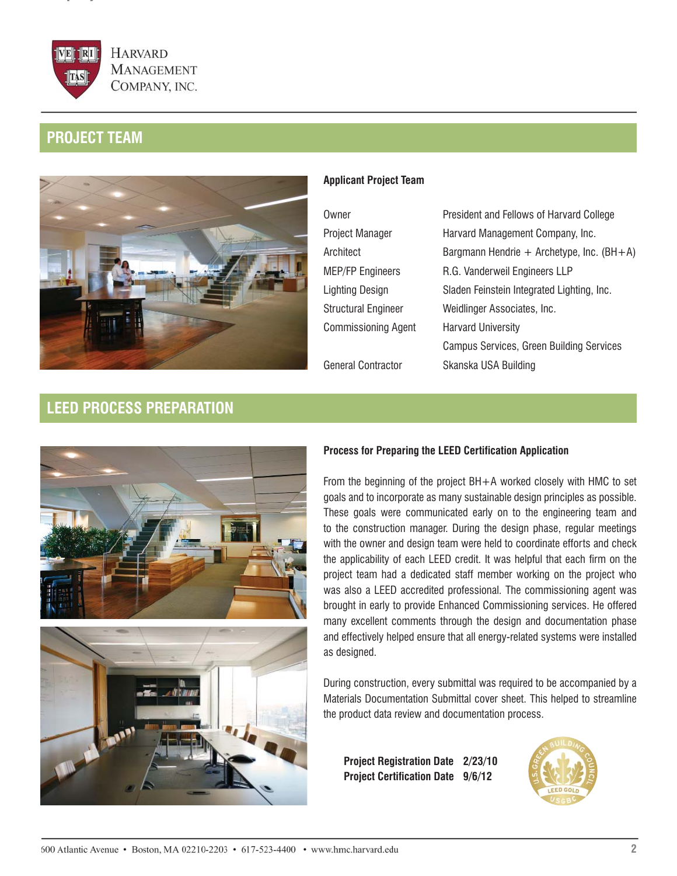

# **PROJECT TEAM**



#### **Applicant Project Team**

| Owner                      | President and Fellows of Harvard College        |  |
|----------------------------|-------------------------------------------------|--|
| Project Manager            | Harvard Management Company, Inc.                |  |
| Architect                  | Bargmann Hendrie + Archetype, Inc. $(BH+A)$     |  |
| <b>MEP/FP Engineers</b>    | R.G. Vanderweil Engineers LLP                   |  |
| <b>Lighting Design</b>     | Sladen Feinstein Integrated Lighting, Inc.      |  |
| <b>Structural Engineer</b> | Weidlinger Associates, Inc.                     |  |
| <b>Commissioning Agent</b> | <b>Harvard University</b>                       |  |
|                            | <b>Campus Services, Green Building Services</b> |  |
| <b>General Contractor</b>  | Skanska USA Building                            |  |

# **LEED PROCESS PREPARATION**





#### **Process for Preparing the LEED Certification Application**

From the beginning of the project BH+A worked closely with HMC to set goals and to incorporate as many sustainable design principles as possible. These goals were communicated early on to the engineering team and to the construction manager. During the design phase, regular meetings with the owner and design team were held to coordinate efforts and check the applicability of each LEED credit. It was helpful that each firm on the project team had a dedicated staff member working on the project who was also a LEED accredited professional. The commissioning agent was brought in early to provide Enhanced Commissioning services. He offered many excellent comments through the design and documentation phase and effectively helped ensure that all energy-related systems were installed as designed.

During construction, every submittal was required to be accompanied by a Materials Documentation Submittal cover sheet. This helped to streamline the product data review and documentation process.

**Project Registration Date 2/23/10 Project Certification Date 9/6/12**

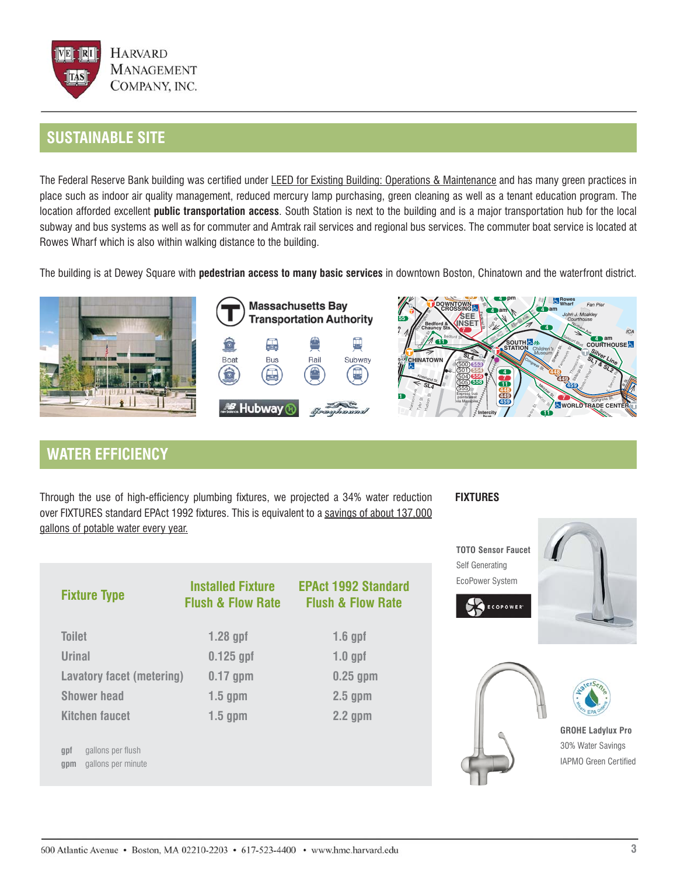

## **SUSTAINABLE SITE**

The Federal Reserve Bank building was certified under <u>LEED for Existing Building: Operations & Maintenance</u> and has many green practices in place such as indoor air quality management, reduced mercury lamp purchasing, green cleaning as well as a tenant education program. The location afforded excellent **public transportation access**. South Station is next to the building and is a major transportation hub for the local subway and bus systems as well as for commuter and Amtrak rail services and regional bus services. The commuter boat service is located at Rowes Wharf which is also within walking distance to the building.

The building is at Dewey Square with **pedestrian access to many basic services** in downtown Boston, Chinatown and the waterfront district.



# **WATER EFFICIENCY PRUDENTIAL**

Through the use of high-efficiency plumbing fixtures, we projected a 34% water reduction over FIXTURES standard EPAct 1992 fixtures. This is equivalent to a savings of about 137,000 gallons of potable water every year.

**BACK BAY SOUTH END Amtrak**

#### **FIXTURES**

Self Generating EcoPower System

| <b>Fixture Type</b>                                   | <b>Installed Fixture</b><br><b>Flush &amp; Flow Rate</b> | <b>EPAct 1992 Standard</b><br><b>Flush &amp; Flow Rate</b> |
|-------------------------------------------------------|----------------------------------------------------------|------------------------------------------------------------|
| <b>Toilet</b>                                         | $1.28$ gpf                                               | $1.6$ gpf                                                  |
| <b>Urinal</b>                                         | $0.125$ gpf                                              | $1.0$ gpf                                                  |
| <b>Lavatory facet (metering)</b>                      | $0.17$ gpm                                               | $0.25$ gpm                                                 |
| <b>Shower head</b>                                    | $1.5$ gpm                                                | $2.5$ gpm                                                  |
| <b>Kitchen faucet</b>                                 | $1.5$ gpm                                                | $2.2$ gpm                                                  |
| gallons per flush<br>qpf<br>gallons per minute<br>gpm |                                                          |                                                            |





ECOPOWER



**GROHE Ladylux Pro** 30% Water Savings IAPMO Green Certified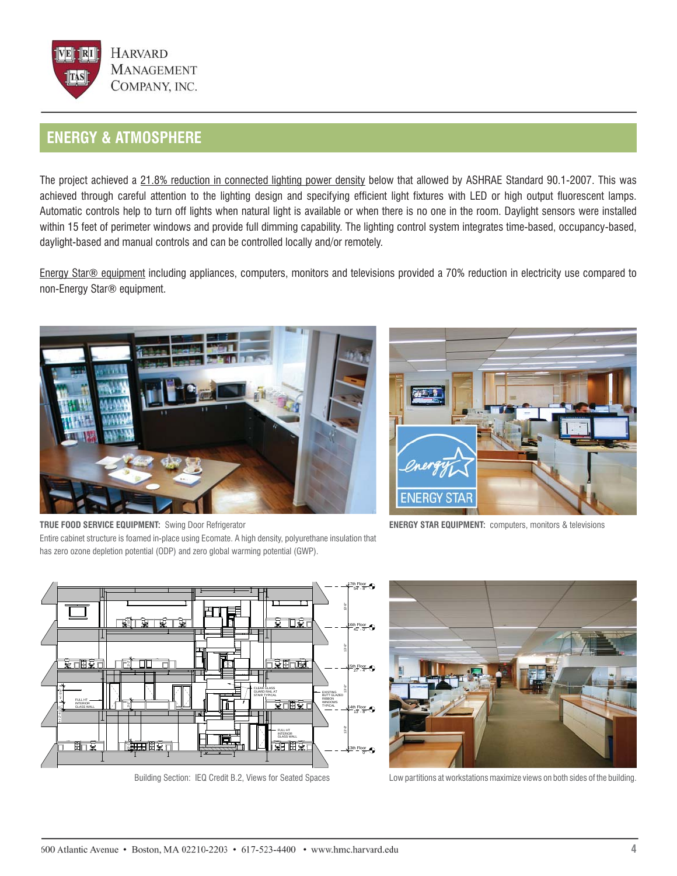

## **ENERGY & ATMOSPHERE**

The project achieved a 21.8% reduction in connected lighting power density below that allowed by ASHRAE Standard 90.1-2007. This was achieved through careful attention to the lighting design and specifying efficient light fixtures with LED or high output fluorescent lamps. Automatic controls help to turn off lights when natural light is available or when there is no one in the room. Daylight sensors were installed within 15 feet of perimeter windows and provide full dimming capability. The lighting control system integrates time-based, occupancy-based, daylight-based and manual controls and can be controlled locally and/or remotely.

Energy Star® equipment including appliances, computers, monitors and televisions provided a 70% reduction in electricity use compared to non-Energy Star® equipment.



**TRUE FOOD SERVICE EQUIPMENT:** Swing Door Refrigerator Entire cabinet structure is foamed in-place using Ecomate. A high density, polyurethane insulation that has zero ozone depletion potential (ODP) and zero global warming potential (GWP).



**ENERGY STAR EQUIPMENT:** computers, monitors & televisions



Building Section: IEQ Credit B.2, Views for Seated Spaces



Low partitions at workstations maximize views on both sides of the building.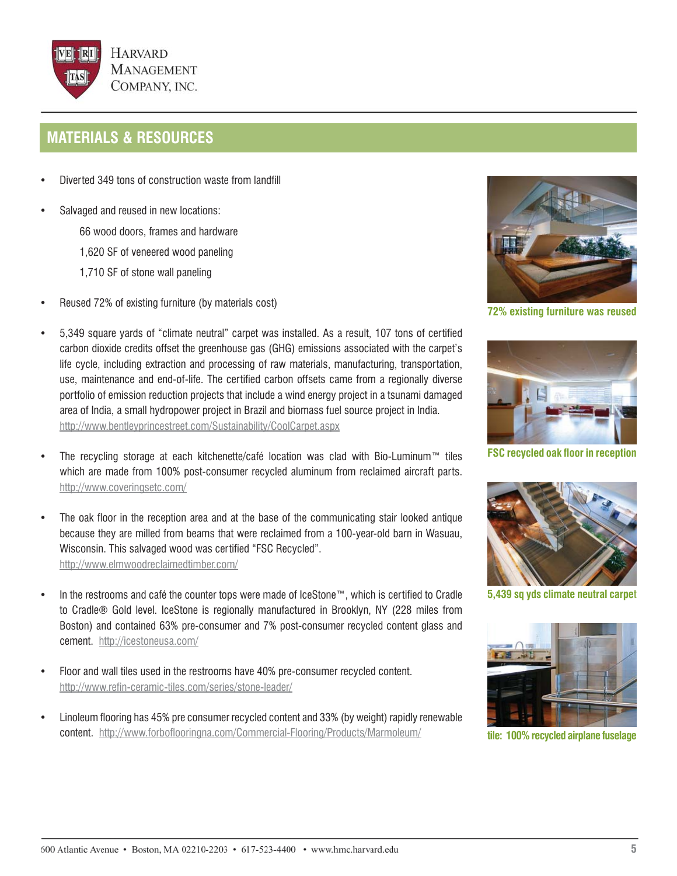

#### **MATERIALS & RESOURCES**

- Diverted 349 tons of construction waste from landfill
- Salvaged and reused in new locations:

66 wood doors, frames and hardware

- 1,620 SF of veneered wood paneling
- 1,710 SF of stone wall paneling
- Reused 72% of existing furniture (by materials cost)



- The recycling storage at each kitchenette/café location was clad with Bio-Luminum™ tiles which are made from 100% post-consumer recycled aluminum from reclaimed aircraft parts. http://www.coveringsetc.com/
- The oak floor in the reception area and at the base of the communicating stair looked antique because they are milled from beams that were reclaimed from a 100-year-old barn in Wasuau, Wisconsin. This salvaged wood was certified "FSC Recycled". http://www.elmwoodreclaimedtimber.com/
- In the restrooms and café the counter tops were made of IceStone™, which is certified to Cradle to Cradle® Gold level. IceStone is regionally manufactured in Brooklyn, NY (228 miles from Boston) and contained 63% pre-consumer and 7% post-consumer recycled content glass and cement. http://icestoneusa.com/
- Floor and wall tiles used in the restrooms have 40% pre-consumer recycled content. http://www.refin-ceramic-tiles.com/series/stone-leader/
- Linoleum flooring has 45% pre consumer recycled content and 33% (by weight) rapidly renewable content. http://www.forboflooringna.com/Commercial-Flooring/Products/Marmoleum/



**72% existing furniture was reused**



**FSC recycled oak floor in reception**



**5,439 sq yds climate neutral carpet**



**tile: 100% recycled airplane fuselage**